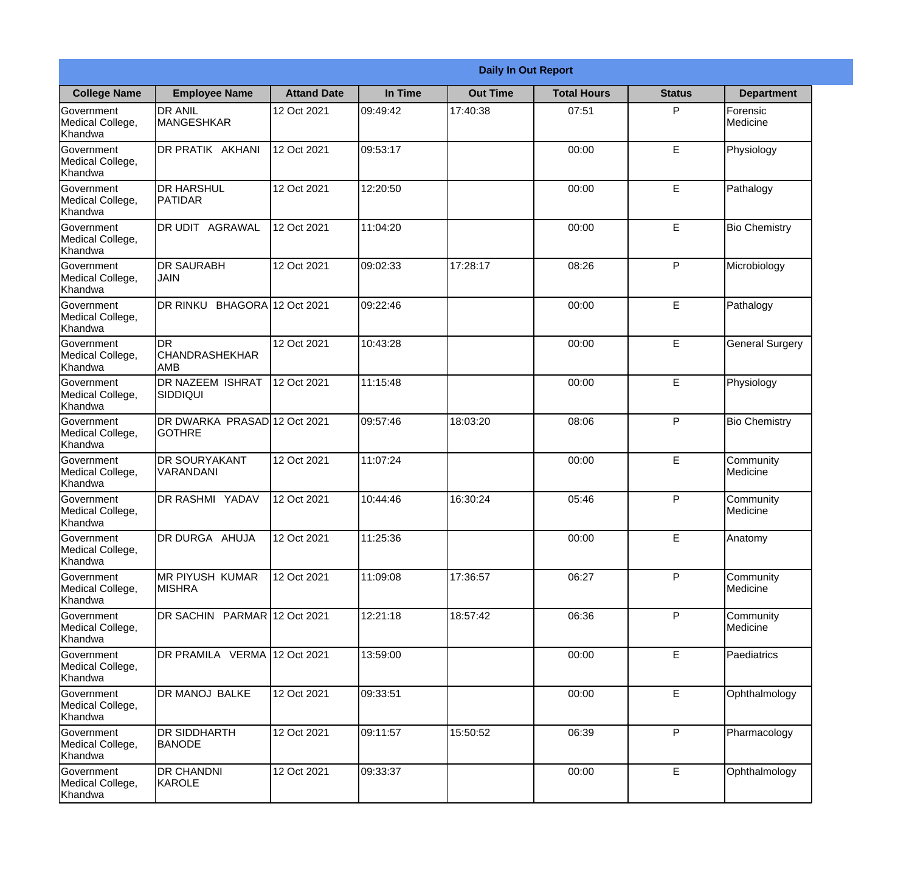|                                                  |                                                  | <b>Daily In Out Report</b> |          |                 |                    |               |                        |  |  |
|--------------------------------------------------|--------------------------------------------------|----------------------------|----------|-----------------|--------------------|---------------|------------------------|--|--|
| <b>College Name</b>                              | <b>Employee Name</b>                             | <b>Attand Date</b>         | In Time  | <b>Out Time</b> | <b>Total Hours</b> | <b>Status</b> | <b>Department</b>      |  |  |
| Government<br>Medical College,<br>Khandwa        | <b>DR ANIL</b><br><b>MANGESHKAR</b>              | 12 Oct 2021                | 09:49:42 | 17:40:38        | 07:51              | P             | Forensic<br>Medicine   |  |  |
| Government<br>Medical College,<br>Khandwa        | DR PRATIK AKHANI                                 | 12 Oct 2021                | 09:53:17 |                 | 00:00              | E             | Physiology             |  |  |
| <b>Government</b><br>Medical College,<br>Khandwa | <b>DR HARSHUL</b><br>PATIDAR                     | 12 Oct 2021                | 12:20:50 |                 | 00:00              | E             | Pathalogy              |  |  |
| Government<br>Medical College,<br>Khandwa        | DR UDIT AGRAWAL                                  | 12 Oct 2021                | 11:04:20 |                 | 00:00              | $\mathsf E$   | <b>Bio Chemistry</b>   |  |  |
| Government<br>Medical College,<br>Khandwa        | <b>DR SAURABH</b><br><b>JAIN</b>                 | 12 Oct 2021                | 09:02:33 | 17:28:17        | 08:26              | P             | Microbiology           |  |  |
| Government<br>Medical College,<br>Khandwa        | DR RINKU BHAGORA 12 Oct 2021                     |                            | 09:22:46 |                 | 00:00              | E             | Pathalogy              |  |  |
| Government<br>Medical College,<br>Khandwa        | <b>DR</b><br><b>CHANDRASHEKHAR</b><br><b>AMB</b> | 12 Oct 2021                | 10:43:28 |                 | 00:00              | E             | <b>General Surgery</b> |  |  |
| Government<br>Medical College,<br>Khandwa        | DR NAZEEM ISHRAT<br> SIDDIQUI                    | 12 Oct 2021                | 11:15:48 |                 | 00:00              | E             | Physiology             |  |  |
| Government<br>Medical College,<br>Khandwa        | DR DWARKA PRASAD 12 Oct 2021<br><b>GOTHRE</b>    |                            | 09:57:46 | 18:03:20        | 08:06              | P             | <b>Bio Chemistry</b>   |  |  |
| Government<br>Medical College,<br>Khandwa        | <b>DR SOURYAKANT</b><br>VARANDANI                | 12 Oct 2021                | 11:07:24 |                 | 00:00              | E             | Community<br>Medicine  |  |  |
| Government<br>Medical College,<br>Khandwa        | <b>DR RASHMI YADAV</b>                           | 12 Oct 2021                | 10:44:46 | 16:30:24        | 05:46              | P             | Community<br>Medicine  |  |  |
| Government<br>Medical College,<br>Khandwa        | DR DURGA AHUJA                                   | 12 Oct 2021                | 11:25:36 |                 | 00:00              | $\mathsf E$   | Anatomy                |  |  |
| Government<br>Medical College,<br>Khandwa        | MR PIYUSH KUMAR<br><b>MISHRA</b>                 | 12 Oct 2021                | 11:09:08 | 17:36:57        | 06:27              | P             | Community<br>Medicine  |  |  |
| Government<br>Medical College,<br>Khandwa        | DR SACHIN PARMAR 12 Oct 2021                     |                            | 12:21:18 | 18:57:42        | 06:36              | P             | Community<br>Medicine  |  |  |
| <b>Government</b><br>Medical College,<br>Khandwa | DR PRAMILA VERMA 12 Oct 2021                     |                            | 13:59:00 |                 | 00:00              | E             | <b>Paediatrics</b>     |  |  |
| Government<br>Medical College,<br>Khandwa        | DR MANOJ BALKE                                   | 12 Oct 2021                | 09:33:51 |                 | 00:00              | $\mathsf E$   | Ophthalmology          |  |  |
| Government<br>Medical College,<br>Khandwa        | <b>DR SIDDHARTH</b><br><b>BANODE</b>             | 12 Oct 2021                | 09:11:57 | 15:50:52        | 06:39              | P             | Pharmacology           |  |  |
| Government<br>Medical College,<br>Khandwa        | <b>DR CHANDNI</b><br>KAROLE                      | 12 Oct 2021                | 09:33:37 |                 | 00:00              | $\mathsf E$   | Ophthalmology          |  |  |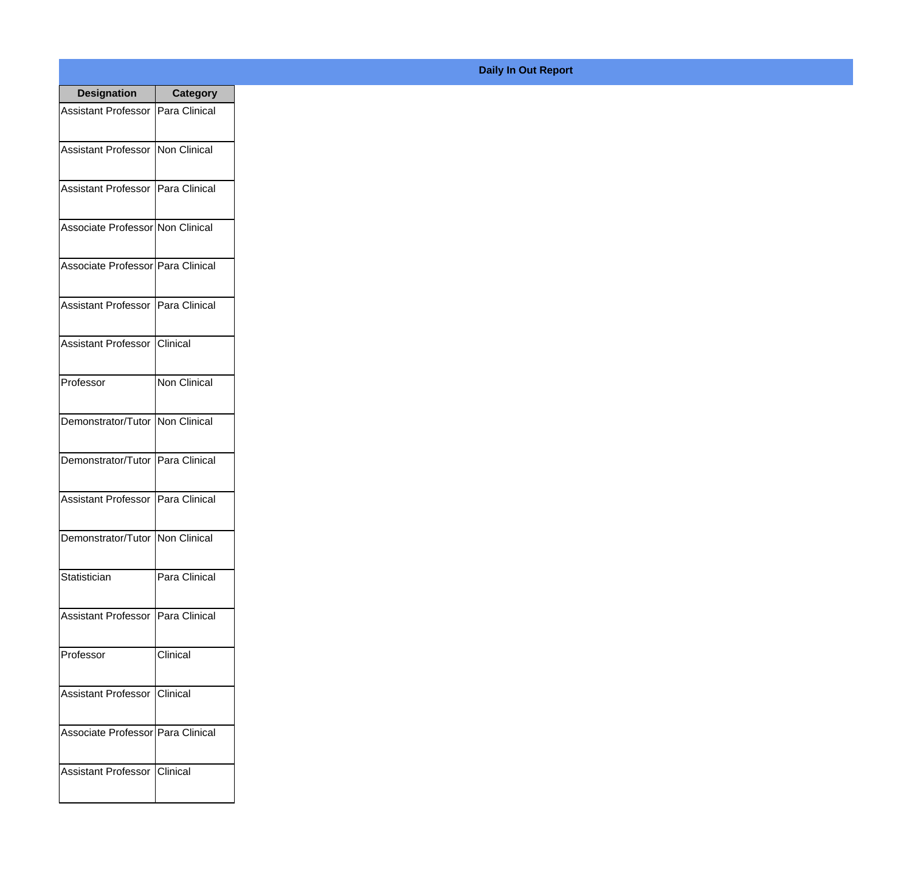| <b>Designation</b>                  | <b>Category</b> |
|-------------------------------------|-----------------|
| Assistant Professor   Para Clinical |                 |
| Assistant Professor   Non Clinical  |                 |
| Assistant Professor                 | Para Clinical   |
| Associate Professor Non Clinical    |                 |
| Associate Professor   Para Clinical |                 |
| Assistant Professor   Para Clinical |                 |
| Assistant Professor   Clinical      |                 |
| Professor                           | Non Clinical    |
| Demonstrator/Tutor   Non Clinical   |                 |
| Demonstrator/Tutor   Para Clinical  |                 |
| <b>Assistant Professor</b>          | Para Clinical   |
| Demonstrator/Tutor   Non Clinical   |                 |
| Statistician                        | Para Clinical   |
| Assistant Professor   Para Clinical |                 |
| Professor                           | Clinical        |
| <b>Assistant Professor</b>          | Clinical        |
| Associate Professor   Para Clinical |                 |
| Assistant Professor   Clinical      |                 |

## **Daily In Out Report**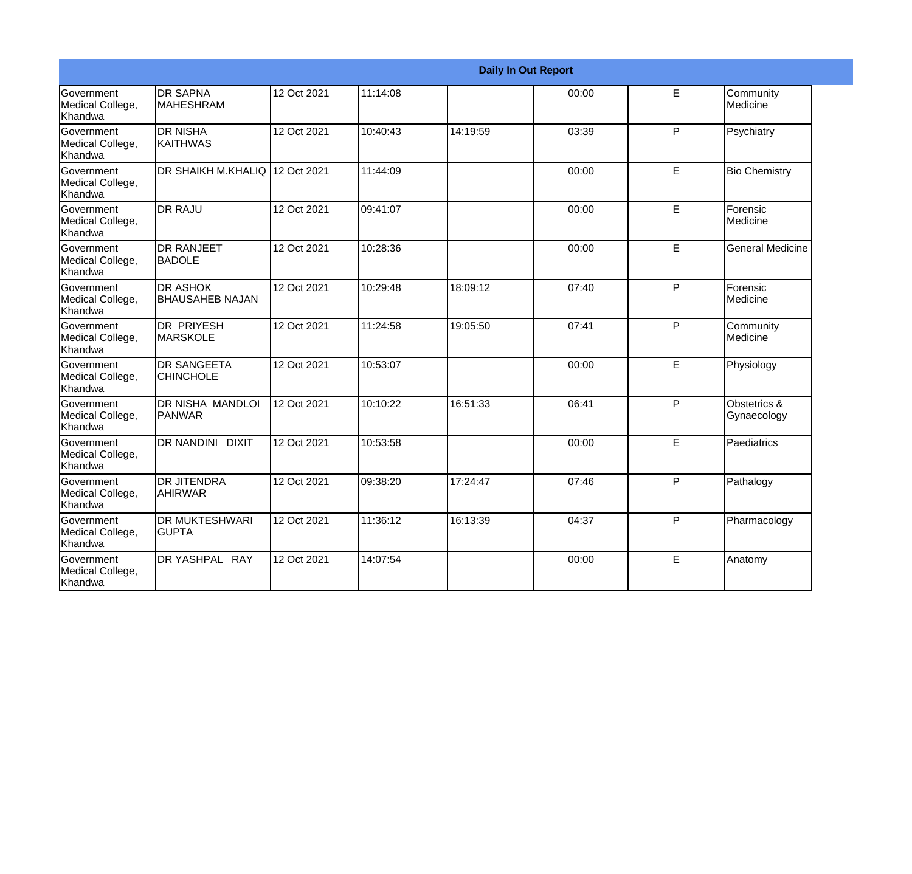|                                                  |                                           |             |          | <b>Daily In Out Report</b> |       |    |                             |
|--------------------------------------------------|-------------------------------------------|-------------|----------|----------------------------|-------|----|-----------------------------|
| <b>Government</b><br>Medical College,<br>Khandwa | <b>DR SAPNA</b><br><b>MAHESHRAM</b>       | 12 Oct 2021 | 11:14:08 |                            | 00:00 | E  | Community<br>Medicine       |
| <b>Government</b><br>Medical College,<br>Khandwa | <b>DR NISHA</b><br>KAITHWAS               | 12 Oct 2021 | 10:40:43 | 14:19:59                   | 03:39 | P  | Psychiatry                  |
| <b>Government</b><br>Medical College,<br>Khandwa | <b>DR SHAIKH M.KHALIQ</b>                 | 12 Oct 2021 | 11:44:09 |                            | 00:00 | E  | <b>Bio Chemistry</b>        |
| Government<br>Medical College,<br>Khandwa        | <b>DR RAJU</b>                            | 12 Oct 2021 | 09:41:07 |                            | 00:00 | E  | Forensic<br>Medicine        |
| <b>Government</b><br>Medical College,<br>Khandwa | <b>DR RANJEET</b><br><b>BADOLE</b>        | 12 Oct 2021 | 10:28:36 |                            | 00:00 | E  | <b>General Medicine</b>     |
| Government<br>Medical College,<br>Khandwa        | <b>DR ASHOK</b><br><b>BHAUSAHEB NAJAN</b> | 12 Oct 2021 | 10:29:48 | 18:09:12                   | 07:40 | P  | Forensic<br>Medicine        |
| <b>Government</b><br>Medical College,<br>Khandwa | <b>DR PRIYESH</b><br><b>MARSKOLE</b>      | 12 Oct 2021 | 11:24:58 | 19:05:50                   | 07:41 | P  | Community<br>Medicine       |
| <b>Government</b><br>Medical College,<br>Khandwa | <b>DR SANGEETA</b><br><b>CHINCHOLE</b>    | 12 Oct 2021 | 10:53:07 |                            | 00:00 | E. | Physiology                  |
| Government<br>Medical College,<br>Khandwa        | <b>DR NISHA MANDLOI</b><br>PANWAR         | 12 Oct 2021 | 10:10:22 | 16:51:33                   | 06:41 | P  | Obstetrics &<br>Gynaecology |
| Government<br>Medical College,<br>Khandwa        | <b>DR NANDINI</b><br><b>DIXIT</b>         | 12 Oct 2021 | 10:53:58 |                            | 00:00 | E  | Paediatrics                 |
| <b>Government</b><br>Medical College,<br>Khandwa | <b>DR JITENDRA</b><br><b>AHIRWAR</b>      | 12 Oct 2021 | 09:38:20 | 17:24:47                   | 07:46 | P  | Pathalogy                   |
| Government<br>Medical College,<br>Khandwa        | <b>DR MUKTESHWARI</b><br><b>GUPTA</b>     | 12 Oct 2021 | 11:36:12 | 16:13:39                   | 04:37 | P  | Pharmacology                |
| Government<br>Medical College,<br>Khandwa        | DR YASHPAL RAY                            | 12 Oct 2021 | 14:07:54 |                            | 00:00 | E  | Anatomy                     |